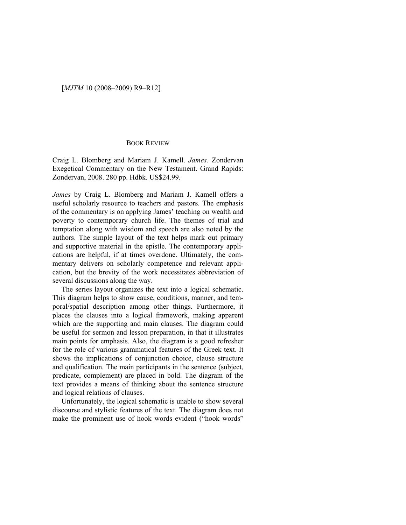## [*MJTM* 10 (2008–2009) R9–R12]

## BOOK REVIEW

Craig L. Blomberg and Mariam J. Kamell. *James.* Zondervan Exegetical Commentary on the New Testament. Grand Rapids: Zondervan, 2008. 280 pp. Hdbk. US\$24.99.

*James* by Craig L. Blomberg and Mariam J. Kamell offers a useful scholarly resource to teachers and pastors. The emphasis of the commentary is on applying James' teaching on wealth and poverty to contemporary church life. The themes of trial and temptation along with wisdom and speech are also noted by the authors. The simple layout of the text helps mark out primary and supportive material in the epistle. The contemporary applications are helpful, if at times overdone. Ultimately, the commentary delivers on scholarly competence and relevant application, but the brevity of the work necessitates abbreviation of several discussions along the way.

The series layout organizes the text into a logical schematic. This diagram helps to show cause, conditions, manner, and temporal/spatial description among other things. Furthermore, it places the clauses into a logical framework, making apparent which are the supporting and main clauses. The diagram could be useful for sermon and lesson preparation, in that it illustrates main points for emphasis. Also, the diagram is a good refresher for the role of various grammatical features of the Greek text. It shows the implications of conjunction choice, clause structure and qualification. The main participants in the sentence (subject, predicate, complement) are placed in bold. The diagram of the text provides a means of thinking about the sentence structure and logical relations of clauses.

Unfortunately, the logical schematic is unable to show several discourse and stylistic features of the text. The diagram does not make the prominent use of hook words evident ("hook words"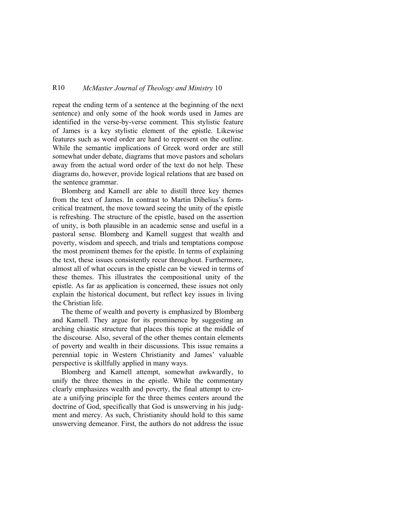## R10 *McMaster Journal of Theology and Ministry* 10

repeat the ending term of a sentence at the beginning of the next sentence) and only some of the hook words used in James are identified in the verse-by-verse comment. This stylistic feature of James is a key stylistic element of the epistle. Likewise features such as word order are hard to represent on the outline. While the semantic implications of Greek word order are still somewhat under debate, diagrams that move pastors and scholars away from the actual word order of the text do not help. These diagrams do, however, provide logical relations that are based on the sentence grammar.

Blomberg and Kamell are able to distill three key themes from the text of James. In contrast to Martin Dibelius's formcritical treatment, the move toward seeing the unity of the epistle is refreshing. The structure of the epistle, based on the assertion of unity, is both plausible in an academic sense and useful in a pastoral sense. Blomberg and Kamell suggest that wealth and poverty, wisdom and speech, and trials and temptations compose the most prominent themes for the epistle. In terms of explaining the text, these issues consistently recur throughout. Furthermore, almost all of what occurs in the epistle can be viewed in terms of these themes. This illustrates the compositional unity of the epistle. As far as application is concerned, these issues not only explain the historical document, but reflect key issues in living the Christian life.

The theme of wealth and poverty is emphasized by Blomberg and Kamell. They argue for its prominence by suggesting an arching chiastic structure that places this topic at the middle of the discourse. Also, several of the other themes contain elements of poverty and wealth in their discussions. This issue remains a perennial topic in Western Christianity and James' valuable perspective is skillfully applied in many ways.

Blomberg and Kamell attempt, somewhat awkwardly, to unify the three themes in the epistle. While the commentary clearly emphasizes wealth and poverty, the final attempt to create a unifying principle for the three themes centers around the doctrine of God, specifically that God is unswerving in his judgment and mercy. As such, Christianity should hold to this same unswerving demeanor. First, the authors do not address the issue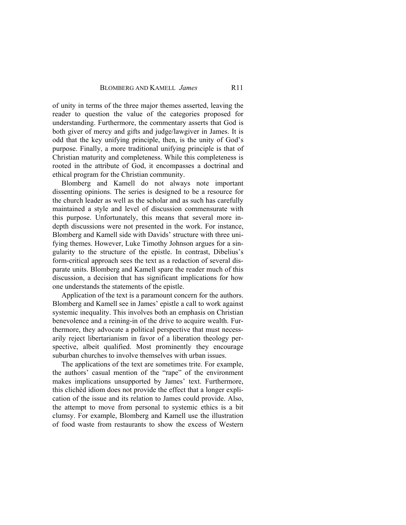of unity in terms of the three major themes asserted, leaving the reader to question the value of the categories proposed for understanding. Furthermore, the commentary asserts that God is both giver of mercy and gifts and judge/lawgiver in James. It is odd that the key unifying principle, then, is the unity of God's purpose. Finally, a more traditional unifying principle is that of Christian maturity and completeness. While this completeness is rooted in the attribute of God, it encompasses a doctrinal and ethical program for the Christian community.

Blomberg and Kamell do not always note important dissenting opinions. The series is designed to be a resource for the church leader as well as the scholar and as such has carefully maintained a style and level of discussion commensurate with this purpose. Unfortunately, this means that several more indepth discussions were not presented in the work. For instance, Blomberg and Kamell side with Davids' structure with three unifying themes. However, Luke Timothy Johnson argues for a singularity to the structure of the epistle. In contrast, Dibelius's form-critical approach sees the text as a redaction of several disparate units. Blomberg and Kamell spare the reader much of this discussion, a decision that has significant implications for how one understands the statements of the epistle.

Application of the text is a paramount concern for the authors. Blomberg and Kamell see in James' epistle a call to work against systemic inequality. This involves both an emphasis on Christian benevolence and a reining-in of the drive to acquire wealth. Furthermore, they advocate a political perspective that must necessarily reject libertarianism in favor of a liberation theology perspective, albeit qualified. Most prominently they encourage suburban churches to involve themselves with urban issues.

The applications of the text are sometimes trite. For example, the authors' casual mention of the "rape" of the environment makes implications unsupported by James' text. Furthermore, this clichéd idiom does not provide the effect that a longer explication of the issue and its relation to James could provide. Also, the attempt to move from personal to systemic ethics is a bit clumsy. For example, Blomberg and Kamell use the illustration of food waste from restaurants to show the excess of Western